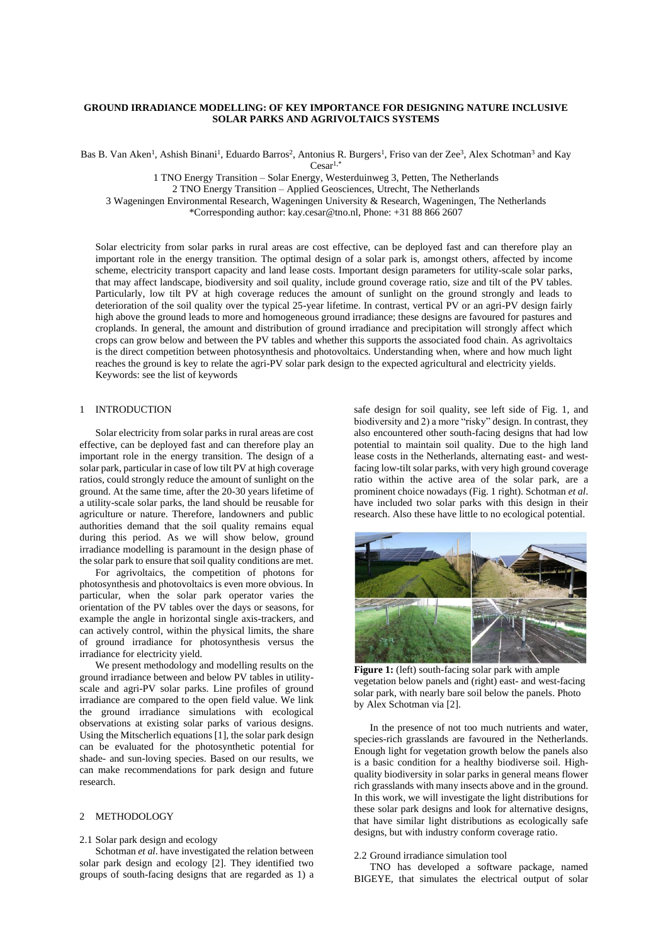# **GROUND IRRADIANCE MODELLING: OF KEY IMPORTANCE FOR DESIGNING NATURE INCLUSIVE SOLAR PARKS AND AGRIVOLTAICS SYSTEMS**

Bas B. Van Aken<sup>1</sup>, Ashish Binani<sup>1</sup>, Eduardo Barros<sup>2</sup>, Antonius R. Burgers<sup>1</sup>, Friso van der Zee<sup>3</sup>, Alex Schotman<sup>3</sup> and Kay  $Cesar^{1,*}$ 

1 TNO Energy Transition – Solar Energy, Westerduinweg 3, Petten, The Netherlands

2 TNO Energy Transition – Applied Geosciences, Utrecht, The Netherlands

3 Wageningen Environmental Research, Wageningen University & Research, Wageningen, The Netherlands

\*Corresponding author: kay.cesar@tno.nl, Phone: +31 88 866 2607

Solar electricity from solar parks in rural areas are cost effective, can be deployed fast and can therefore play an important role in the energy transition. The optimal design of a solar park is, amongst others, affected by income scheme, electricity transport capacity and land lease costs. Important design parameters for utility-scale solar parks, that may affect landscape, biodiversity and soil quality, include ground coverage ratio, size and tilt of the PV tables. Particularly, low tilt PV at high coverage reduces the amount of sunlight on the ground strongly and leads to deterioration of the soil quality over the typical 25-year lifetime. In contrast, vertical PV or an agri-PV design fairly high above the ground leads to more and homogeneous ground irradiance; these designs are favoured for pastures and croplands. In general, the amount and distribution of ground irradiance and precipitation will strongly affect which crops can grow below and between the PV tables and whether this supports the associated food chain. As agrivoltaics is the direct competition between photosynthesis and photovoltaics. Understanding when, where and how much light reaches the ground is key to relate the agri-PV solar park design to the expected agricultural and electricity yields. Keywords: see the list of keywords

## 1 INTRODUCTION

Solar electricity from solar parks in rural areas are cost effective, can be deployed fast and can therefore play an important role in the energy transition. The design of a solar park, particular in case of low tilt PV at high coverage ratios, could strongly reduce the amount of sunlight on the ground. At the same time, after the 20-30 years lifetime of a utility-scale solar parks, the land should be reusable for agriculture or nature. Therefore, landowners and public authorities demand that the soil quality remains equal during this period. As we will show below, ground irradiance modelling is paramount in the design phase of the solar park to ensure that soil quality conditions are met.

For agrivoltaics, the competition of photons for photosynthesis and photovoltaics is even more obvious. In particular, when the solar park operator varies the orientation of the PV tables over the days or seasons, for example the angle in horizontal single axis-trackers, and can actively control, within the physical limits, the share of ground irradiance for photosynthesis versus the irradiance for electricity yield.

We present methodology and modelling results on the ground irradiance between and below PV tables in utilityscale and agri-PV solar parks. Line profiles of ground irradiance are compared to the open field value. We link the ground irradiance simulations with ecological observations at existing solar parks of various designs. Using the Mitscherlich equations [1], the solar park design can be evaluated for the photosynthetic potential for shade- and sun-loving species. Based on our results, we can make recommendations for park design and future research.

# 2 METHODOLOGY

### 2.1 Solar park design and ecology

Schotman *et al*. have investigated the relation between solar park design and ecology [2]. They identified two groups of south-facing designs that are regarded as 1) a safe design for soil quality, see left side of Fig. 1, and biodiversity and 2) a more "risky" design. In contrast, they also encountered other south-facing designs that had low potential to maintain soil quality. Due to the high land lease costs in the Netherlands, alternating east- and westfacing low-tilt solar parks, with very high ground coverage ratio within the active area of the solar park, are a prominent choice nowadays (Fig. 1 right). Schotman *et al*. have included two solar parks with this design in their research. Also these have little to no ecological potential.



**Figure 1:** (left) south-facing solar park with ample vegetation below panels and (right) east- and west-facing solar park, with nearly bare soil below the panels. Photo by Alex Schotman via [2].

In the presence of not too much nutrients and water, species-rich grasslands are favoured in the Netherlands. Enough light for vegetation growth below the panels also is a basic condition for a healthy biodiverse soil. Highquality biodiversity in solar parks in general means flower rich grasslands with many insects above and in the ground. In this work, we will investigate the light distributions for these solar park designs and look for alternative designs, that have similar light distributions as ecologically safe designs, but with industry conform coverage ratio.

#### 2.2 Ground irradiance simulation tool

TNO has developed a software package, named BIGEYE, that simulates the electrical output of solar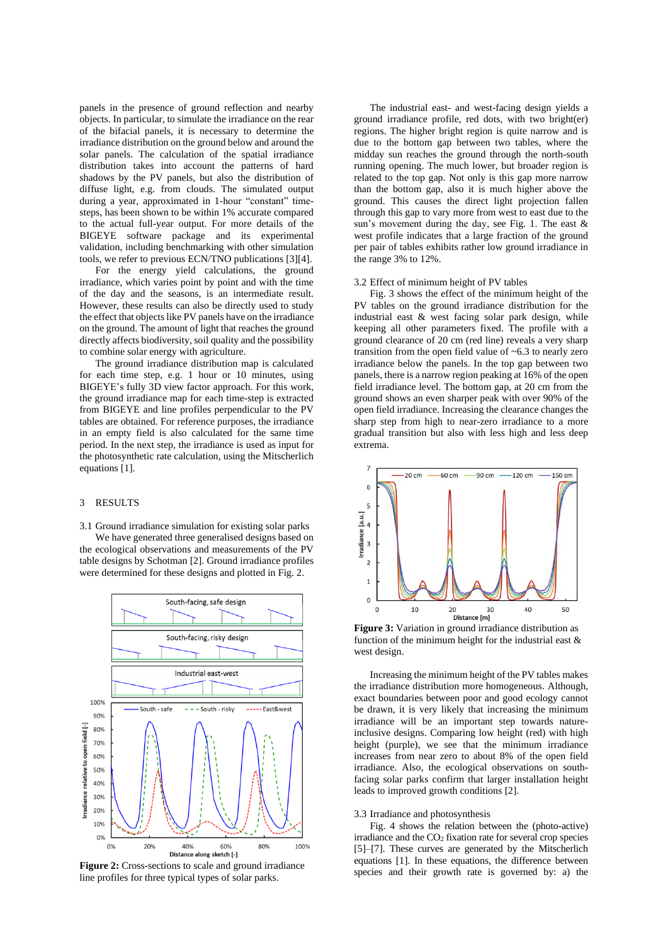panels in the presence of ground reflection and nearby objects. In particular, to simulate the irradiance on the rear of the bifacial panels, it is necessary to determine the irradiance distribution on the ground below and around the solar panels. The calculation of the spatial irradiance distribution takes into account the patterns of hard shadows by the PV panels, but also the distribution of diffuse light, e.g. from clouds. The simulated output during a year, approximated in 1-hour "constant" timesteps, has been shown to be within 1% accurate compared to the actual full-year output. For more details of the BIGEYE software package and its experimental validation, including benchmarking with other simulation tools, we refer to previous ECN/TNO publications [3][4].

For the energy yield calculations, the ground irradiance, which varies point by point and with the time of the day and the seasons, is an intermediate result. However, these results can also be directly used to study the effect that objects like PV panels have on the irradiance on the ground. The amount of light that reaches the ground directly affects biodiversity, soil quality and the possibility to combine solar energy with agriculture.

The ground irradiance distribution map is calculated for each time step, e.g. 1 hour or 10 minutes, using BIGEYE's fully 3D view factor approach. For this work, the ground irradiance map for each time-step is extracted from BIGEYE and line profiles perpendicular to the PV tables are obtained. For reference purposes, the irradiance in an empty field is also calculated for the same time period. In the next step, the irradiance is used as input for the photosynthetic rate calculation, using the Mitscherlich equations [1].

### 3 RESULTS

3.1 Ground irradiance simulation for existing solar parks

We have generated three generalised designs based on the ecological observations and measurements of the PV table designs by Schotman [2]. Ground irradiance profiles were determined for these designs and plotted in Fig. 2.



**Figure 2:** Cross-sections to scale and ground irradiance line profiles for three typical types of solar parks.

The industrial east- and west-facing design yields a ground irradiance profile, red dots, with two bright(er) regions. The higher bright region is quite narrow and is due to the bottom gap between two tables, where the midday sun reaches the ground through the north-south running opening. The much lower, but broader region is related to the top gap. Not only is this gap more narrow than the bottom gap, also it is much higher above the ground. This causes the direct light projection fallen through this gap to vary more from west to east due to the sun's movement during the day, see Fig. 1. The east & west profile indicates that a large fraction of the ground per pair of tables exhibits rather low ground irradiance in the range 3% to 12%.

#### 3.2 Effect of minimum height of PV tables

Fig. 3 shows the effect of the minimum height of the PV tables on the ground irradiance distribution for the industrial east & west facing solar park design, while keeping all other parameters fixed. The profile with a ground clearance of 20 cm (red line) reveals a very sharp transition from the open field value of ~6.3 to nearly zero irradiance below the panels. In the top gap between two panels, there is a narrow region peaking at 16% of the open field irradiance level. The bottom gap, at 20 cm from the ground shows an even sharper peak with over 90% of the open field irradiance. Increasing the clearance changes the sharp step from high to near-zero irradiance to a more gradual transition but also with less high and less deep extrema.



**Figure 3:** Variation in ground irradiance distribution as function of the minimum height for the industrial east & west design.

Increasing the minimum height of the PV tables makes the irradiance distribution more homogeneous. Although, exact boundaries between poor and good ecology cannot be drawn, it is very likely that increasing the minimum irradiance will be an important step towards natureinclusive designs. Comparing low height (red) with high height (purple), we see that the minimum irradiance increases from near zero to about 8% of the open field irradiance. Also, the ecological observations on southfacing solar parks confirm that larger installation height leads to improved growth conditions [2].

### 3.3 Irradiance and photosynthesis

Fig. 4 shows the relation between the (photo-active) irradiance and the CO<sup>2</sup> fixation rate for several crop species [5]–[7]. These curves are generated by the Mitscherlich equations [1]. In these equations, the difference between species and their growth rate is governed by: a) the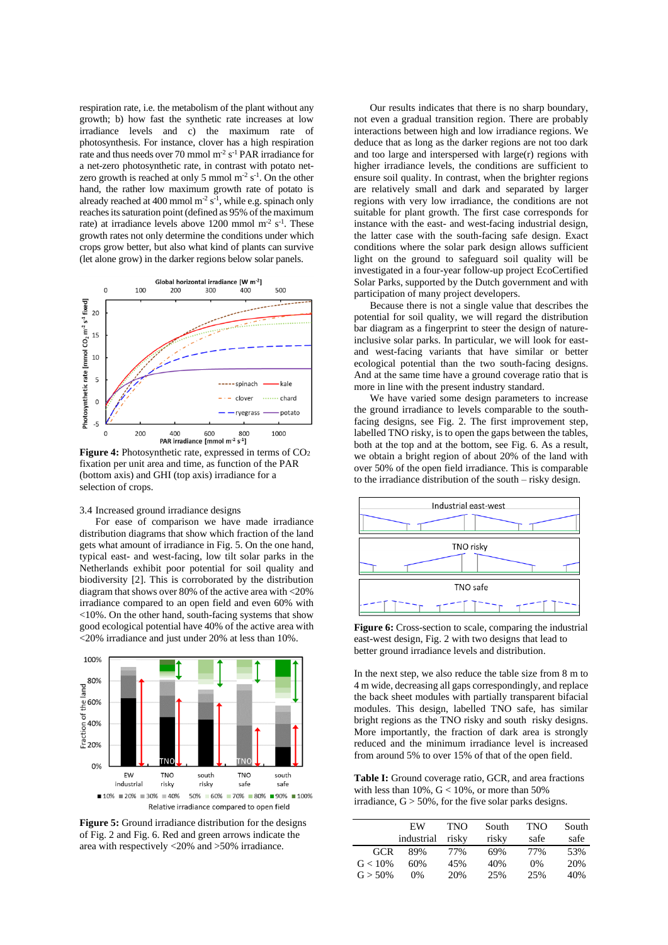respiration rate, i.e. the metabolism of the plant without any growth; b) how fast the synthetic rate increases at low irradiance levels and c) the maximum rate of photosynthesis. For instance, clover has a high respiration rate and thus needs over 70 mmol  $\mathrm{m}^2$  s<sup>-1</sup> PAR irradiance for a net-zero photosynthetic rate, in contrast with potato netzero growth is reached at only 5 mmol  $\mathrm{m}^2$  s<sup>-1</sup>. On the other hand, the rather low maximum growth rate of potato is already reached at 400 mmol  $m^{-2} s^{-1}$ , while e.g. spinach only reaches its saturation point (defined as 95% of the maximum rate) at irradiance levels above  $1200$  mmol m<sup>-2</sup> s<sup>-1</sup>. These growth rates not only determine the conditions under which crops grow better, but also what kind of plants can survive (let alone grow) in the darker regions below solar panels.



**Figure 4:** Photosynthetic rate, expressed in terms of CO<sub>2</sub> fixation per unit area and time, as function of the PAR (bottom axis) and GHI (top axis) irradiance for a selection of crops.

# 3.4 Increased ground irradiance designs

For ease of comparison we have made irradiance distribution diagrams that show which fraction of the land gets what amount of irradiance in Fig. 5. On the one hand, typical east- and west-facing, low tilt solar parks in the Netherlands exhibit poor potential for soil quality and biodiversity [2]. This is corroborated by the distribution diagram that shows over 80% of the active area with <20% irradiance compared to an open field and even 60% with <10%. On the other hand, south-facing systems that show good ecological potential have 40% of the active area with <20% irradiance and just under 20% at less than 10%.



**Figure 5:** Ground irradiance distribution for the designs of Fig. 2 and Fig. 6. Red and green arrows indicate the area with respectively <20% and >50% irradiance.

Our results indicates that there is no sharp boundary, not even a gradual transition region. There are probably interactions between high and low irradiance regions. We deduce that as long as the darker regions are not too dark and too large and interspersed with large(r) regions with higher irradiance levels, the conditions are sufficient to ensure soil quality. In contrast, when the brighter regions are relatively small and dark and separated by larger regions with very low irradiance, the conditions are not suitable for plant growth. The first case corresponds for instance with the east- and west-facing industrial design, the latter case with the south-facing safe design. Exact conditions where the solar park design allows sufficient light on the ground to safeguard soil quality will be investigated in a four-year follow-up project EcoCertified Solar Parks, supported by the Dutch government and with participation of many project developers.

Because there is not a single value that describes the potential for soil quality, we will regard the distribution bar diagram as a fingerprint to steer the design of natureinclusive solar parks. In particular, we will look for eastand west-facing variants that have similar or better ecological potential than the two south-facing designs. And at the same time have a ground coverage ratio that is more in line with the present industry standard.

We have varied some design parameters to increase the ground irradiance to levels comparable to the southfacing designs, see Fig. 2. The first improvement step, labelled TNO risky, is to open the gaps between the tables, both at the top and at the bottom, see Fig. 6. As a result, we obtain a bright region of about 20% of the land with over 50% of the open field irradiance. This is comparable to the irradiance distribution of the south – risky design.



**Figure 6:** Cross-section to scale, comparing the industrial east-west design, Fig. 2 with two designs that lead to better ground irradiance levels and distribution.

In the next step, we also reduce the table size from 8 m to 4 m wide, decreasing all gaps correspondingly, and replace the back sheet modules with partially transparent bifacial modules. This design, labelled TNO safe, has similar bright regions as the TNO risky and south risky designs. More importantly, the fraction of dark area is strongly reduced and the minimum irradiance level is increased from around 5% to over 15% of that of the open field.

**Table I:** Ground coverage ratio, GCR, and area fractions with less than  $10\%$ ,  $G < 10\%$ , or more than 50% irradiance,  $G > 50\%$ , for the five solar parks designs.

|            | EW<br>industrial | TNO<br>risky | South<br>risky | <b>TNO</b><br>safe | South<br>safe |
|------------|------------------|--------------|----------------|--------------------|---------------|
| GCR        | 89%              | 77%          | 69%            | 77%                | 53%           |
| $G < 10\%$ | 60%              | 45%          | 40%            | $0\%$              | 20%           |
| $G > 50\%$ | 0%               | 20%          | 25%            | 25%                | 40%           |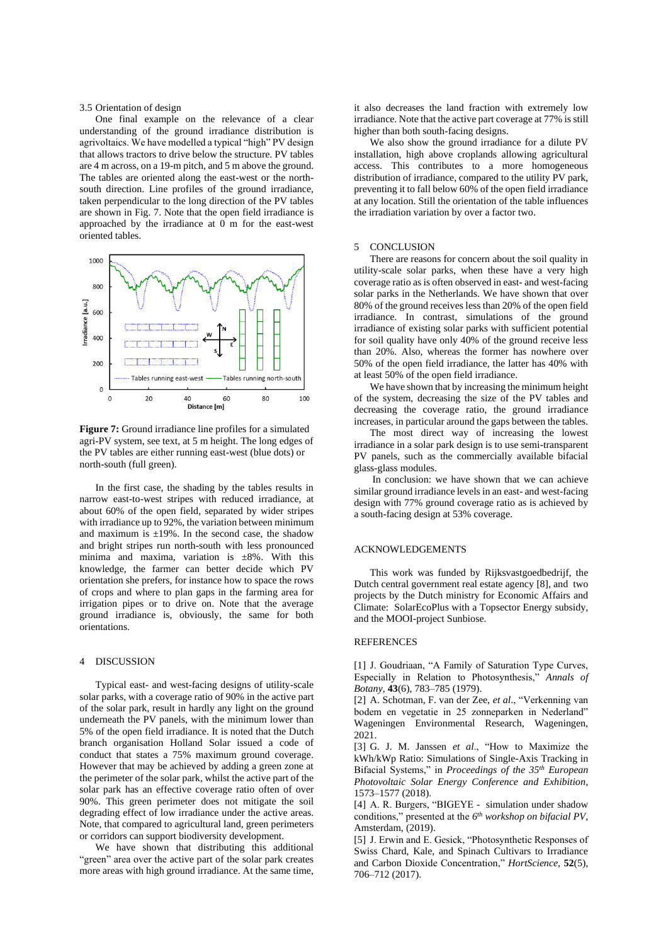3.5 Orientation of design

One final example on the relevance of a clear understanding of the ground irradiance distribution is agrivoltaics. We have modelled a typical "high" PV design that allows tractors to drive below the structure. PV tables are 4 m across, on a 19-m pitch, and 5 m above the ground. The tables are oriented along the east-west or the northsouth direction. Line profiles of the ground irradiance, taken perpendicular to the long direction of the PV tables are shown in Fig. 7. Note that the open field irradiance is approached by the irradiance at 0 m for the east-west oriented tables.



**Figure 7:** Ground irradiance line profiles for a simulated agri-PV system, see text, at 5 m height. The long edges of the PV tables are either running east-west (blue dots) or north-south (full green).

In the first case, the shading by the tables results in narrow east-to-west stripes with reduced irradiance, at about 60% of the open field, separated by wider stripes with irradiance up to 92%, the variation between minimum and maximum is  $\pm 19\%$ . In the second case, the shadow and bright stripes run north-south with less pronounced minima and maxima, variation is ±8%. With this knowledge, the farmer can better decide which PV orientation she prefers, for instance how to space the rows of crops and where to plan gaps in the farming area for irrigation pipes or to drive on. Note that the average ground irradiance is, obviously, the same for both orientations.

## 4 DISCUSSION

Typical east- and west-facing designs of utility-scale solar parks, with a coverage ratio of 90% in the active part of the solar park, result in hardly any light on the ground underneath the PV panels, with the minimum lower than 5% of the open field irradiance. It is noted that the Dutch branch organisation Holland Solar issued a code of conduct that states a 75% maximum ground coverage. However that may be achieved by adding a green zone at the perimeter of the solar park, whilst the active part of the solar park has an effective coverage ratio often of over 90%. This green perimeter does not mitigate the soil degrading effect of low irradiance under the active areas. Note, that compared to agricultural land, green perimeters or corridors can support biodiversity development.

We have shown that distributing this additional "green" area over the active part of the solar park creates more areas with high ground irradiance. At the same time, it also decreases the land fraction with extremely low irradiance. Note that the active part coverage at 77% is still higher than both south-facing designs.

We also show the ground irradiance for a dilute PV installation, high above croplands allowing agricultural access. This contributes to a more homogeneous distribution of irradiance, compared to the utility PV park, preventing it to fall below 60% of the open field irradiance at any location. Still the orientation of the table influences the irradiation variation by over a factor two.

#### 5 CONCLUSION

There are reasons for concern about the soil quality in utility-scale solar parks, when these have a very high coverage ratio as is often observed in east- and west-facing solar parks in the Netherlands. We have shown that over 80% of the ground receives less than 20% of the open field irradiance. In contrast, simulations of the ground irradiance of existing solar parks with sufficient potential for soil quality have only 40% of the ground receive less than 20%. Also, whereas the former has nowhere over 50% of the open field irradiance, the latter has 40% with at least 50% of the open field irradiance.

We have shown that by increasing the minimum height of the system, decreasing the size of the PV tables and decreasing the coverage ratio, the ground irradiance increases, in particular around the gaps between the tables.

The most direct way of increasing the lowest irradiance in a solar park design is to use semi-transparent PV panels, such as the commercially available bifacial glass-glass modules.

In conclusion: we have shown that we can achieve similar ground irradiance levels in an east- and west-facing design with 77% ground coverage ratio as is achieved by a south-facing design at 53% coverage.

# ACKNOWLEDGEMENTS

This work was funded by Rijksvastgoedbedrijf, the Dutch central government real estate agency [8], and two projects by the Dutch ministry for Economic Affairs and Climate: SolarEcoPlus with a Topsector Energy subsidy, and the MOOI-project Sunbiose.

#### REFERENCES

[1] J. Goudriaan, "A Family of Saturation Type Curves, Especially in Relation to Photosynthesis," *Annals of Botany*, **43**(6), 783–785 (1979).

[2] A. Schotman, F. van der Zee, *et al*., "Verkenning van bodem en vegetatie in 25 zonneparken in Nederland" Wageningen Environmental Research, Wageningen, 2021.

[3] G. J. M. Janssen *et al*., "How to Maximize the kWh/kWp Ratio: Simulations of Single-Axis Tracking in Bifacial Systems," in *Proceedings of the 35th European Photovoltaic Solar Energy Conference and Exhibition*, 1573–1577 (2018).

[4] A. R. Burgers, "BIGEYE - simulation under shadow conditions," presented at the *6 th workshop on bifacial PV*, Amsterdam, (2019).

[5] J. Erwin and E. Gesick, "Photosynthetic Responses of Swiss Chard, Kale, and Spinach Cultivars to Irradiance and Carbon Dioxide Concentration," *HortScience*, **52**(5), 706–712 (2017).